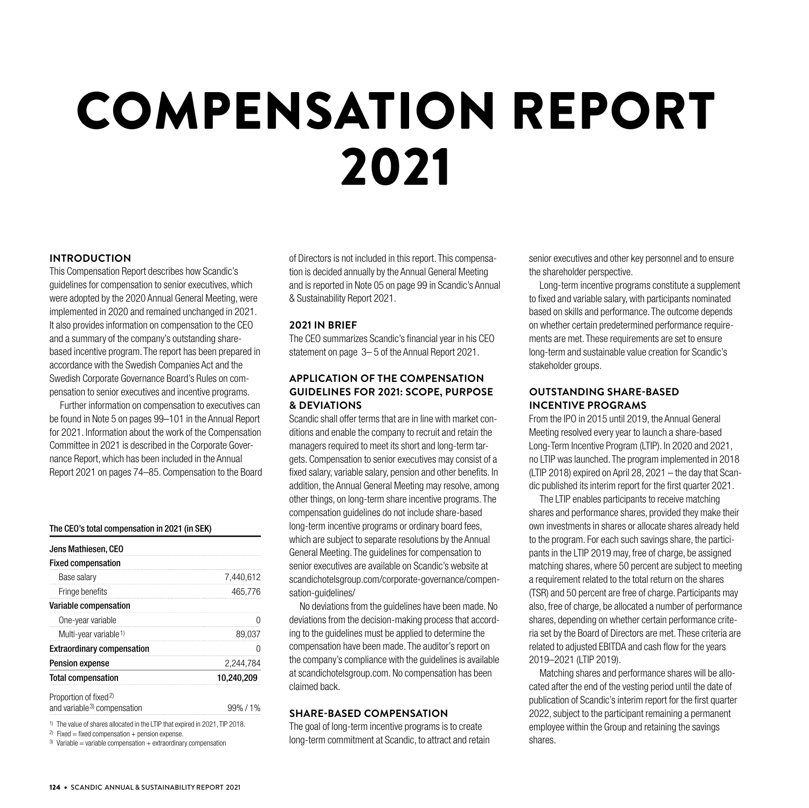# COMPENSATION REPORT 2021

# **INTRODUCTION**

This Compensation Report describes how Scandic's guidelines for compensation to senior executives, which were adopted by the 2020 Annual General Meeting, were implemented in 2020 and remained unchanged in 2021. It also provides information on compensation to the CEO and a summary of the company's outstanding sharebased incentive program. The report has been prepared in accordance with the Swedish Companies Act and the Swedish Corporate Governance Board's Rules on compensation to senior executives and incentive programs.

Further information on compensation to executives can be found in Note 5 on pages 99–101 in the Annual Report for 2021. Information about the work of the Compensation Committee in 2021 is described in the Corporate Governance Report, which has been included in the Annual Report 2021 on pages 74–85. Compensation to the Board

### The CEO's total compensation in 2021 (in SEK)

| Jens Mathiesen, CEO                    |            |
|----------------------------------------|------------|
| <b>Fixed compensation</b>              |            |
| Base salary                            | 7,440,612  |
| Fringe benefits                        | 465.776    |
| <b>Variable compensation</b>           |            |
| One-year variable                      |            |
| Multi-year variable <sup>1)</sup>      | 39 U.S.A   |
| <b>Extraordinary compensation</b>      |            |
| <b>Pension expense</b>                 | 2.244.784  |
| <b>Total compensation</b>              | 10,240,209 |
| Proportion of fixed <sup>2)</sup>      |            |
| and variable <sup>3</sup> compensation | 99%/1%     |

1) The value of shares allocated in the LTIP that expired in 2021, TIP 2018.

<sup>2)</sup> Fixed = fixed compensation + pension expense.

 $3)$  Variable = variable compensation + extraordinary compensation

of Directors is not included in this report. This compensation is decided annually by the Annual General Meeting and is reported in Note 05 on page 99 in Scandic's Annual & Sustainability Report 2021.

## **2021 IN BRIEF**

The CEO summarizes Scandic's financial year in his CEO statement on page 3– 5 of the Annual Report 2021.

# **APPLICATION OF THE COMPENSATION GUIDELINES FOR 2021: SCOPE, PURPOSE & DEVIATIONS**

Scandic shall offer terms that are in line with market conditions and enable the company to recruit and retain the managers required to meet its short and long-term targets. Compensation to senior executives may consist of a fixed salary, variable salary, pension and other benefits. In addition, the Annual General Meeting may resolve, among other things, on long-term share incentive programs. The compensation guidelines do not include share-based long-term incentive programs or ordinary board fees, which are subject to separate resolutions by the Annual General Meeting. The guidelines for compensation to senior executives are available on Scandic's website at scandichotelsgroup.com/corporate-governance/compensation-guidelines/

No deviations from the guidelines have been made. No deviations from the decision-making process that according to the guidelines must be applied to determine the compensation have been made. The auditor's report on the company's compliance with the guidelines is available at scandichotelsgroup.com. No compensation has been claimed back.

# **SHARE-BASED COMPENSATION**

The goal of long-term incentive programs is to create long-term commitment at Scandic, to attract and retain senior executives and other key personnel and to ensure the shareholder perspective.

Long-term incentive programs constitute a supplement to fixed and variable salary, with participants nominated based on skills and performance. The outcome depends on whether certain predetermined performance requirements are met. These requirements are set to ensure long-term and sustainable value creation for Scandic's stakeholder groups.

# **OUTSTANDING SHARE-BASED INCENTIVE PROGRAMS**

From the IPO in 2015 until 2019, the Annual General Meeting resolved every year to launch a share-based Long-Term Incentive Program (LTIP). In 2020 and 2021, no LTIP was launched. The program implemented in 2018 (LTIP 2018) expired on April 28, 2021 – the day that Scandic published its interim report for the first quarter 2021.

The LTIP enables participants to receive matching shares and performance shares, provided they make their own investments in shares or allocate shares already held to the program. For each such savings share, the participants in the LTIP 2019 may, free of charge, be assigned matching shares, where 50 percent are subject to meeting a requirement related to the total return on the shares (TSR) and 50 percent are free of charge. Participants may also, free of charge, be allocated a number of performance shares, depending on whether certain performance criteria set by the Board of Directors are met. These criteria are related to adjusted EBITDA and cash flow for the years 2019–2021 (LTIP 2019).

Matching shares and performance shares will be allocated after the end of the vesting period until the date of publication of Scandic's interim report for the first quarter 2022, subject to the participant remaining a permanent employee within the Group and retaining the savings shares.